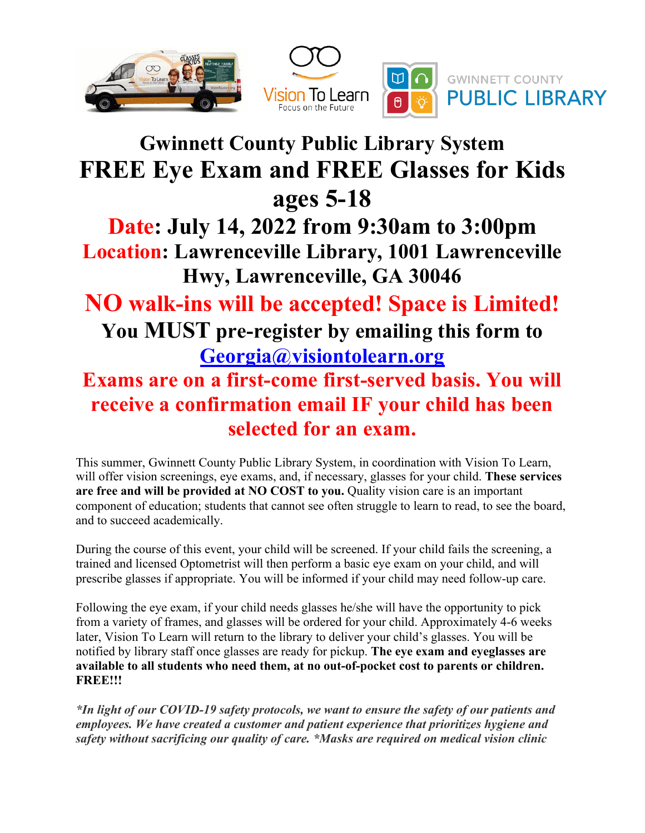

## **Gwinnett County Public Library System FREE Eye Exam and FREE Glasses for Kids ages 5-18**

**Date: July 14, 2022 from 9:30am to 3:00pm Location: Lawrenceville Library, 1001 Lawrenceville Hwy, Lawrenceville, GA 30046**

**NO walk-ins will be accepted! Space is Limited! You MUST pre-register by emailing this form to Georgia@visiontolearn.org Exams are on a first-come first-served basis. You will** 

## **receive a confirmation email IF your child has been selected for an exam.**

This summer, Gwinnett County Public Library System, in coordination with Vision To Learn, will offer vision screenings, eye exams, and, if necessary, glasses for your child. **These services are free and will be provided at NO COST to you.** Quality vision care is an important component of education; students that cannot see often struggle to learn to read, to see the board, and to succeed academically.

During the course of this event, your child will be screened. If your child fails the screening, a trained and licensed Optometrist will then perform a basic eye exam on your child, and will prescribe glasses if appropriate. You will be informed if your child may need follow-up care.

Following the eye exam, if your child needs glasses he/she will have the opportunity to pick from a variety of frames, and glasses will be ordered for your child. Approximately 4-6 weeks later, Vision To Learn will return to the library to deliver your child's glasses. You will be notified by library staff once glasses are ready for pickup. **The eye exam and eyeglasses are available to all students who need them, at no out-of-pocket cost to parents or children. FREE!!!**

*\*In light of our COVID-19 safety protocols, we want to ensure the safety of our patients and employees. We have created a customer and patient experience that prioritizes hygiene and safety without sacrificing our quality of care. \*Masks are required on medical vision clinic*